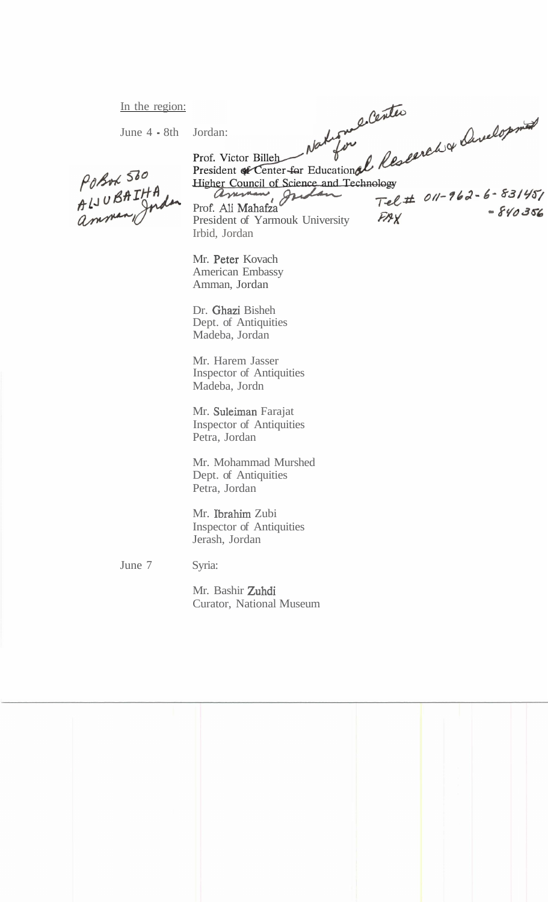In the region:

June  $4 - 8$ th

Tdpt **0//-7k3- 6- g3/g0** 

POBOL 500 Posox Soc<br>ALJUBAIHA<br>amman Jus

gher Council of Science and Technology<br>ammen griddon Tel Prof. Ali Mahafza **Company 1999**<br>President of Yarmouk University **FAX** - 840366 Irbid, Jordan

Mr. Peter Kovach American Embassy Amman, Jordan

Dr. Ghazi Bisheh Dept. of Antiquities Madeba, Jordan

Mr. Harem Jasser Inspector of Antiquities Madeba, Jordn

Mr. Suleiman Farajat Inspector of Antiquities Petra, Jordan

Mr. Mohammad Murshed Dept. of Antiquities Petra, Jordan

Mr. Ibrahim Zubi Inspector of Antiquities Jerash, Jordan

June 7

Syria:

Mr. Bashir Zuhdi Curator, National Museum

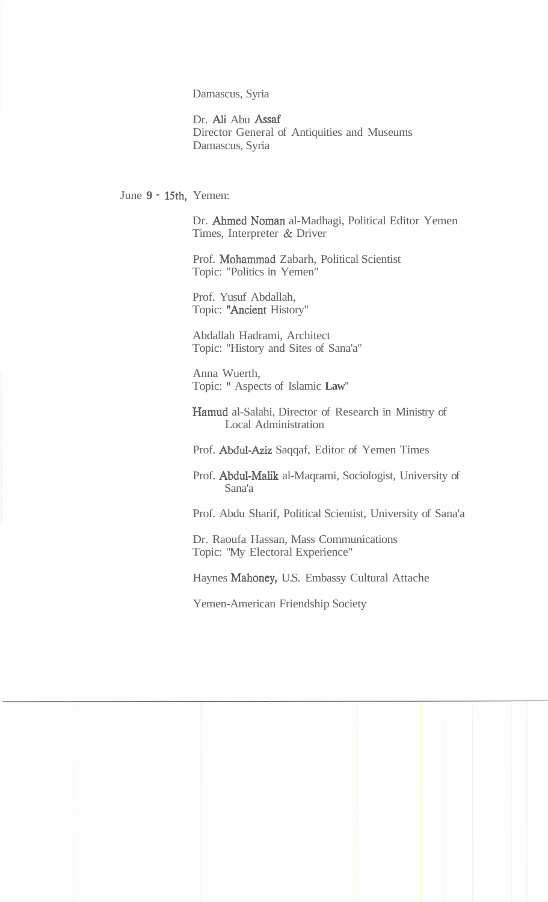Damascus, Syria

Dr. Ali Abu Assaf Director General of Antiquities and Museums Damascus, Syria

June **9** - 15th, Yemen:

Dr. Ahmed Noman al-Madhagi, Political Editor Yemen Times, Interpreter & Driver

Prof. Mohammad Zabarh, Political Scientist Topic: "Politics in Yemen"

Prof. Yusuf Abdallah, Topic: "Ancient History"

Abdallah Hadrami, Architect Topic: "History and Sites of Sana'a"

Anna Wuerth, Topic: " Aspects of Islamic **Law"** 

Hamud al-Salahi, Director of Research in Ministry of Local Administration

Prof. Abdul-Aziz Saqqaf, Editor of Yemen Times

Prof. Abdul-Malik al-Maqrami, Sociologist, University of Sana'a

Prof. Abdu Sharif, Political Scientist, University of Sana'a

Dr. Raoufa Hassan, Mass Communications Topic: "My Electoral Experience"

Haynes Mahoney, U.S. Embassy Cultural Attache

Yemen-American Friendship Society

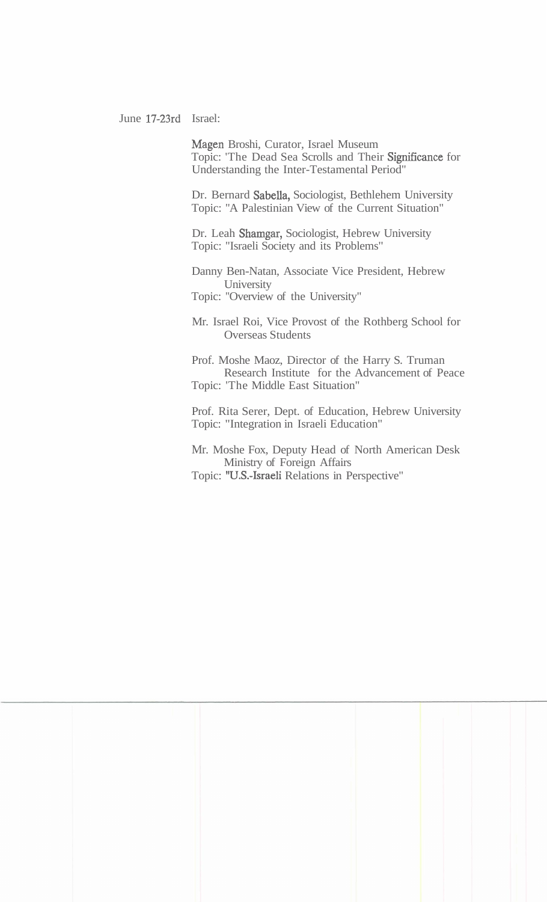June 17-23rd Israel:

Magen Broshi, Curator, Israel Museum Topic: 'The Dead Sea Scrolls and Their Significance for Understanding the Inter-Testamental Period"

Dr. Bernard Sabella, Sociologist, Bethlehem University Topic: "A Palestinian View of the Current Situation"

Dr. Leah Shamgar, Sociologist, Hebrew University Topic: "Israeli Society and its Problems"

Danny Ben-Natan, Associate Vice President, Hebrew **University** 

Topic: "Overview of the University"

Mr. Israel Roi, Vice Provost of the Rothberg School for Overseas Students

Prof. Moshe Maoz, Director of the Harry S. Truman Research Institute for the Advancement of Peace Topic: 'The Middle East Situation"

Prof. Rita Serer, Dept. of Education, Hebrew University Topic: "Integration in Israeli Education"

Mr. Moshe Fox, Deputy Head of North American Desk Ministry of Foreign Affairs Topic: "U.S.-Israeli Relations in Perspective"